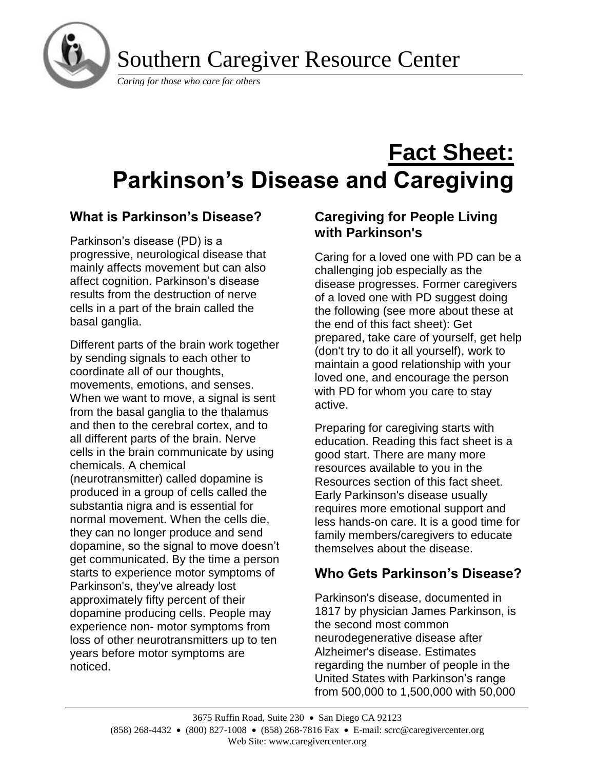

Southern Caregiver Resource Center

*Caring for those who care for others*

# **Fact Sheet: Parkinson's Disease and Caregiving**

# **What is Parkinson's Disease?**

Parkinson's disease (PD) is a progressive, neurological disease that mainly affects movement but can also affect cognition. Parkinson's disease results from the destruction of nerve cells in a part of the brain called the basal ganglia.

Different parts of the brain work together by sending signals to each other to coordinate all of our thoughts, movements, emotions, and senses. When we want to move, a signal is sent from the basal ganglia to the thalamus and then to the cerebral cortex, and to all different parts of the brain. Nerve cells in the brain communicate by using chemicals. A chemical (neurotransmitter) called dopamine is produced in a group of cells called the substantia nigra and is essential for normal movement. When the cells die, they can no longer produce and send dopamine, so the signal to move doesn't get communicated. By the time a person starts to experience motor symptoms of Parkinson's, they've already lost approximately fifty percent of their dopamine producing cells. People may experience non- motor symptoms from loss of other neurotransmitters up to ten years before motor symptoms are noticed.

# **Caregiving for People Living with Parkinson's**

Caring for a loved one with PD can be a challenging job especially as the disease progresses. Former caregivers of a loved one with PD suggest doing the following (see more about these at the end of this fact sheet): Get prepared, take care of yourself, get help (don't try to do it all yourself), work to maintain a good relationship with your loved one, and encourage the person with PD for whom you care to stay active.

Preparing for caregiving starts with education. Reading this fact sheet is a good start. There are many more resources available to you in the Resources section of this fact sheet. Early Parkinson's disease usually requires more emotional support and less hands-on care. It is a good time for family members/caregivers to educate themselves about the disease.

# **Who Gets Parkinson's Disease?**

Parkinson's disease, documented in 1817 by physician James Parkinson, is the second most common neurodegenerative disease after Alzheimer's disease. Estimates regarding the number of people in the United States with Parkinson's range from 500,000 to 1,500,000 with 50,000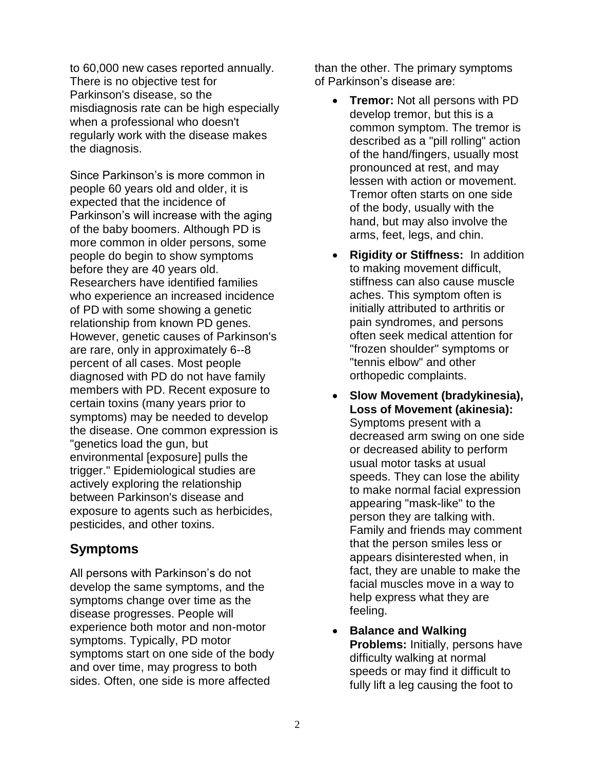to 60,000 new cases reported annually. There is no objective test for Parkinson's disease, so the misdiagnosis rate can be high especially when a professional who doesn't regularly work with the disease makes the diagnosis.

Since Parkinson's is more common in people 60 years old and older, it is expected that the incidence of Parkinson's will increase with the aging of the baby boomers. Although PD is more common in older persons, some people do begin to show symptoms before they are 40 years old. Researchers have identified families who experience an increased incidence of PD with some showing a genetic relationship from known PD genes. However, genetic causes of Parkinson's are rare, only in approximately 6--8 percent of all cases. Most people diagnosed with PD do not have family members with PD. Recent exposure to certain toxins (many years prior to symptoms) may be needed to develop the disease. One common expression is "genetics load the gun, but environmental [exposure] pulls the trigger." Epidemiological studies are actively exploring the relationship between Parkinson's disease and exposure to agents such as herbicides, pesticides, and other toxins.

# **Symptoms**

All persons with Parkinson's do not develop the same symptoms, and the symptoms change over time as the disease progresses. People will experience both motor and non-motor symptoms. Typically, PD motor symptoms start on one side of the body and over time, may progress to both sides. Often, one side is more affected

than the other. The primary symptoms of Parkinson's disease are:

- **Tremor:** Not all persons with PD develop tremor, but this is a common symptom. The tremor is described as a "pill rolling" action of the hand/fingers, usually most pronounced at rest, and may lessen with action or movement. Tremor often starts on one side of the body, usually with the hand, but may also involve the arms, feet, legs, and chin.
- **Rigidity or Stiffness:**In addition to making movement difficult, stiffness can also cause muscle aches. This symptom often is initially attributed to arthritis or pain syndromes, and persons often seek medical attention for "frozen shoulder" symptoms or "tennis elbow" and other orthopedic complaints.
- **Slow Movement (bradykinesia), Loss of Movement (akinesia):** Symptoms present with a decreased arm swing on one side or decreased ability to perform usual motor tasks at usual speeds. They can lose the ability to make normal facial expression appearing "mask-like" to the person they are talking with. Family and friends may comment that the person smiles less or appears disinterested when, in fact, they are unable to make the facial muscles move in a way to help express what they are feeling.
- **Balance and Walking Problems:** Initially, persons have difficulty walking at normal speeds or may find it difficult to fully lift a leg causing the foot to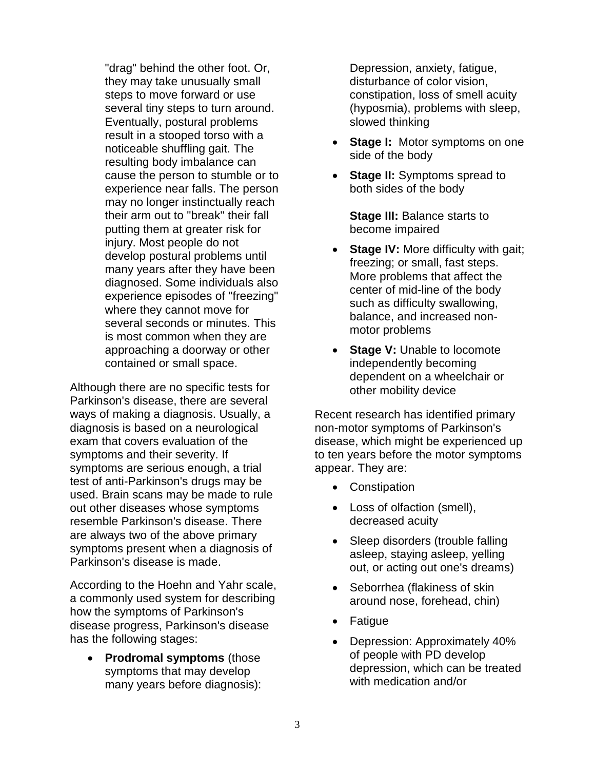"drag" behind the other foot. Or, they may take unusually small steps to move forward or use several tiny steps to turn around. Eventually, postural problems result in a stooped torso with a noticeable shuffling gait. The resulting body imbalance can cause the person to stumble or to experience near falls. The person may no longer instinctually reach their arm out to "break" their fall putting them at greater risk for injury. Most people do not develop postural problems until many years after they have been diagnosed. Some individuals also experience episodes of "freezing" where they cannot move for several seconds or minutes. This is most common when they are approaching a doorway or other contained or small space.

Although there are no specific tests for Parkinson's disease, there are several ways of making a diagnosis. Usually, a diagnosis is based on a neurological exam that covers evaluation of the symptoms and their severity. If symptoms are serious enough, a trial test of anti-Parkinson's drugs may be used. Brain scans may be made to rule out other diseases whose symptoms resemble Parkinson's disease. There are always two of the above primary symptoms present when a diagnosis of Parkinson's disease is made.

According to the Hoehn and Yahr scale, a commonly used system for describing how the symptoms of Parkinson's disease progress, Parkinson's disease has the following stages:

• **Prodromal symptoms** (those symptoms that may develop many years before diagnosis):

Depression, anxiety, fatigue, disturbance of color vision, constipation, loss of smell acuity (hyposmia), problems with sleep, slowed thinking

- **Stage I: Motor symptoms on one** side of the body
- **Stage II:** Symptoms spread to both sides of the body

**Stage III:** Balance starts to become impaired

- **Stage IV:** More difficulty with gait; freezing; or small, fast steps. More problems that affect the center of mid-line of the body such as difficulty swallowing, balance, and increased nonmotor problems
- **Stage V: Unable to locomote** independently becoming dependent on a wheelchair or other mobility device

Recent research has identified primary non-motor symptoms of Parkinson's disease, which might be experienced up to ten years before the motor symptoms appear. They are:

- Constipation
- Loss of olfaction (smell), decreased acuity
- Sleep disorders (trouble falling asleep, staying asleep, yelling out, or acting out one's dreams)
- Seborrhea (flakiness of skin around nose, forehead, chin)
- **Fatigue**
- Depression: Approximately 40% of people with PD develop depression, which can be treated with medication and/or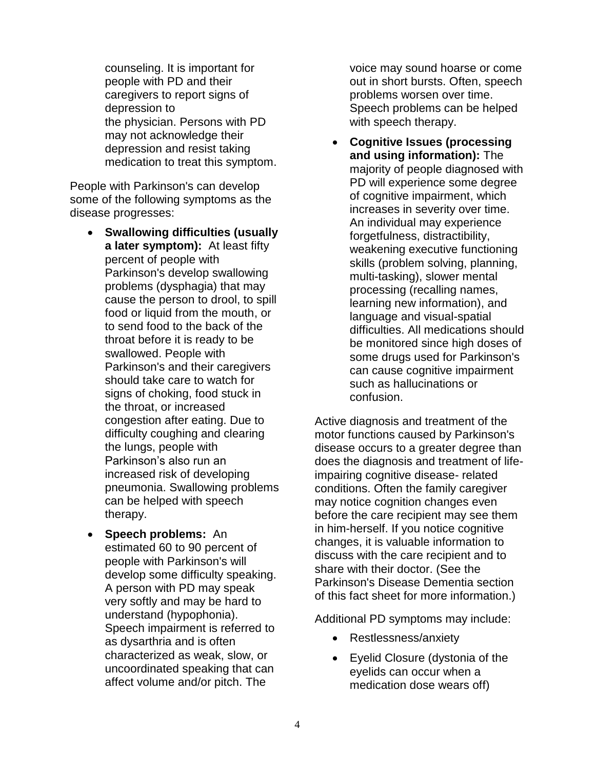counseling. It is important for people with PD and their caregivers to report signs of depression to the physician. Persons with PD may not acknowledge their depression and resist taking medication to treat this symptom.

People with Parkinson's can develop some of the following symptoms as the disease progresses:

- **Swallowing difficulties (usually a later symptom):** At least fifty percent of people with Parkinson's develop swallowing problems (dysphagia) that may cause the person to drool, to spill food or liquid from the mouth, or to send food to the back of the throat before it is ready to be swallowed. People with Parkinson's and their caregivers should take care to watch for signs of choking, food stuck in the throat, or increased congestion after eating. Due to difficulty coughing and clearing the lungs, people with Parkinson's also run an increased risk of developing pneumonia. Swallowing problems can be helped with speech therapy.
- **Speech problems:** An estimated 60 to 90 percent of people with Parkinson's will develop some difficulty speaking. A person with PD may speak very softly and may be hard to understand (hypophonia). Speech impairment is referred to as dysarthria and is often characterized as weak, slow, or uncoordinated speaking that can affect volume and/or pitch. The

voice may sound hoarse or come out in short bursts. Often, speech problems worsen over time. Speech problems can be helped with speech therapy.

• **Cognitive Issues (processing and using information):** The majority of people diagnosed with PD will experience some degree of cognitive impairment, which increases in severity over time. An individual may experience forgetfulness, distractibility, weakening executive functioning skills (problem solving, planning, multi-tasking), slower mental processing (recalling names, learning new information), and language and visual-spatial difficulties. All medications should be monitored since high doses of some drugs used for Parkinson's can cause cognitive impairment such as hallucinations or confusion.

Active diagnosis and treatment of the motor functions caused by Parkinson's disease occurs to a greater degree than does the diagnosis and treatment of lifeimpairing cognitive disease- related conditions. Often the family caregiver may notice cognition changes even before the care recipient may see them in him-herself. If you notice cognitive changes, it is valuable information to discuss with the care recipient and to share with their doctor. (See the Parkinson's Disease Dementia section of this fact sheet for more information.)

Additional PD symptoms may include:

- Restlessness/anxiety
- Eyelid Closure (dystonia of the eyelids can occur when a medication dose wears off)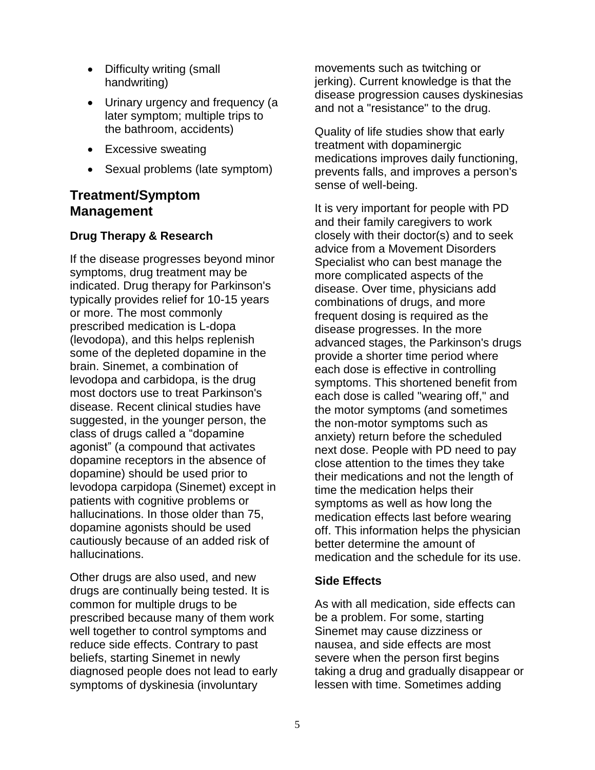- Difficulty writing (small handwriting)
- Urinary urgency and frequency (a later symptom; multiple trips to the bathroom, accidents)
- Excessive sweating
- Sexual problems (late symptom)

# **Treatment/Symptom Management**

### **Drug Therapy & Research**

If the disease progresses beyond minor symptoms, drug treatment may be indicated. Drug therapy for Parkinson's typically provides relief for 10-15 years or more. The most commonly prescribed medication is L-dopa (levodopa), and this helps replenish some of the depleted dopamine in the brain. Sinemet, a combination of levodopa and carbidopa, is the drug most doctors use to treat Parkinson's disease. Recent clinical studies have suggested, in the younger person, the class of drugs called a "dopamine agonist" (a compound that activates dopamine receptors in the absence of dopamine) should be used prior to levodopa carpidopa (Sinemet) except in patients with cognitive problems or hallucinations. In those older than 75, dopamine agonists should be used cautiously because of an added risk of hallucinations.

Other drugs are also used, and new drugs are continually being tested. It is common for multiple drugs to be prescribed because many of them work well together to control symptoms and reduce side effects. Contrary to past beliefs, starting Sinemet in newly diagnosed people does not lead to early symptoms of dyskinesia (involuntary

movements such as twitching or jerking). Current knowledge is that the disease progression causes dyskinesias and not a "resistance" to the drug.

Quality of life studies show that early treatment with dopaminergic medications improves daily functioning, prevents falls, and improves a person's sense of well-being.

It is very important for people with PD and their family caregivers to work closely with their doctor(s) and to seek advice from a Movement Disorders Specialist who can best manage the more complicated aspects of the disease. Over time, physicians add combinations of drugs, and more frequent dosing is required as the disease progresses. In the more advanced stages, the Parkinson's drugs provide a shorter time period where each dose is effective in controlling symptoms. This shortened benefit from each dose is called "wearing off," and the motor symptoms (and sometimes the non-motor symptoms such as anxiety) return before the scheduled next dose. People with PD need to pay close attention to the times they take their medications and not the length of time the medication helps their symptoms as well as how long the medication effects last before wearing off. This information helps the physician better determine the amount of medication and the schedule for its use.

### **Side Effects**

As with all medication, side effects can be a problem. For some, starting Sinemet may cause dizziness or nausea, and side effects are most severe when the person first begins taking a drug and gradually disappear or lessen with time. Sometimes adding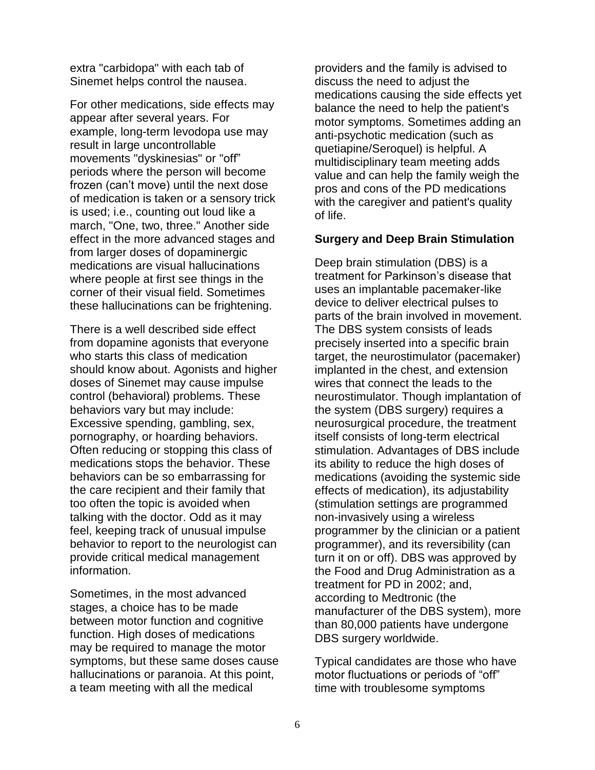extra "carbidopa" with each tab of Sinemet helps control the nausea.

For other medications, side effects may appear after several years. For example, long-term levodopa use may result in large uncontrollable movements "dyskinesias" or "off" periods where the person will become frozen (can't move) until the next dose of medication is taken or a sensory trick is used; i.e., counting out loud like a march, "One, two, three." Another side effect in the more advanced stages and from larger doses of dopaminergic medications are visual hallucinations where people at first see things in the corner of their visual field. Sometimes these hallucinations can be frightening.

There is a well described side effect from dopamine agonists that everyone who starts this class of medication should know about. Agonists and higher doses of Sinemet may cause impulse control (behavioral) problems. These behaviors vary but may include: Excessive spending, gambling, sex, pornography, or hoarding behaviors. Often reducing or stopping this class of medications stops the behavior. These behaviors can be so embarrassing for the care recipient and their family that too often the topic is avoided when talking with the doctor. Odd as it may feel, keeping track of unusual impulse behavior to report to the neurologist can provide critical medical management information.

Sometimes, in the most advanced stages, a choice has to be made between motor function and cognitive function. High doses of medications may be required to manage the motor symptoms, but these same doses cause hallucinations or paranoia. At this point, a team meeting with all the medical

providers and the family is advised to discuss the need to adjust the medications causing the side effects yet balance the need to help the patient's motor symptoms. Sometimes adding an anti-psychotic medication (such as quetiapine/Seroquel) is helpful. A multidisciplinary team meeting adds value and can help the family weigh the pros and cons of the PD medications with the caregiver and patient's quality of life.

#### **Surgery and Deep Brain Stimulation**

Deep brain stimulation (DBS) is a treatment for Parkinson's disease that uses an implantable pacemaker-like device to deliver electrical pulses to parts of the brain involved in movement. The DBS system consists of leads precisely inserted into a specific brain target, the neurostimulator (pacemaker) implanted in the chest, and extension wires that connect the leads to the neurostimulator. Though implantation of the system (DBS surgery) requires a neurosurgical procedure, the treatment itself consists of long-term electrical stimulation. Advantages of DBS include its ability to reduce the high doses of medications (avoiding the systemic side effects of medication), its adjustability (stimulation settings are programmed non-invasively using a wireless programmer by the clinician or a patient programmer), and its reversibility (can turn it on or off). DBS was approved by the Food and Drug Administration as a treatment for PD in 2002; and, according to Medtronic (the manufacturer of the DBS system), more than 80,000 patients have undergone DBS surgery worldwide.

Typical candidates are those who have motor fluctuations or periods of "off" time with troublesome symptoms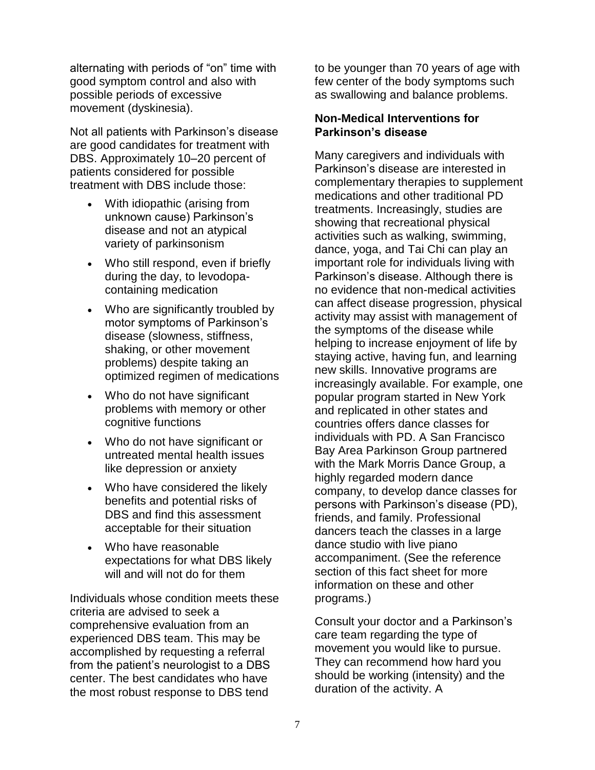alternating with periods of "on" time with good symptom control and also with possible periods of excessive movement (dyskinesia).

Not all patients with Parkinson's disease are good candidates for treatment with DBS. Approximately 10–20 percent of patients considered for possible treatment with DBS include those:

- With idiopathic (arising from unknown cause) Parkinson's disease and not an atypical variety of parkinsonism
- Who still respond, even if briefly during the day, to levodopacontaining medication
- Who are significantly troubled by motor symptoms of Parkinson's disease (slowness, stiffness, shaking, or other movement problems) despite taking an optimized regimen of medications
- Who do not have significant problems with memory or other cognitive functions
- Who do not have significant or untreated mental health issues like depression or anxiety
- Who have considered the likely benefits and potential risks of DBS and find this assessment acceptable for their situation
- Who have reasonable expectations for what DBS likely will and will not do for them

Individuals whose condition meets these criteria are advised to seek a comprehensive evaluation from an experienced DBS team. This may be accomplished by requesting a referral from the patient's neurologist to a DBS center. The best candidates who have the most robust response to DBS tend

to be younger than 70 years of age with few center of the body symptoms such as swallowing and balance problems.

### **Non-Medical Interventions for Parkinson's disease**

Many caregivers and individuals with Parkinson's disease are interested in complementary therapies to supplement medications and other traditional PD treatments. Increasingly, studies are showing that recreational physical activities such as walking, swimming, dance, yoga, and Tai Chi can play an important role for individuals living with Parkinson's disease. Although there is no evidence that non-medical activities can affect disease progression, physical activity may assist with management of the symptoms of the disease while helping to increase enjoyment of life by staying active, having fun, and learning new skills. Innovative programs are increasingly available. For example, one popular program started in New York and replicated in other states and countries offers dance classes for individuals with PD. A San Francisco Bay Area Parkinson Group partnered with the Mark Morris Dance Group, a highly regarded modern dance company, to develop dance classes for persons with Parkinson's disease (PD), friends, and family. Professional dancers teach the classes in a large dance studio with live piano accompaniment. (See the reference section of this fact sheet for more information on these and other programs.)

Consult your doctor and a Parkinson's care team regarding the type of movement you would like to pursue. They can recommend how hard you should be working (intensity) and the duration of the activity. A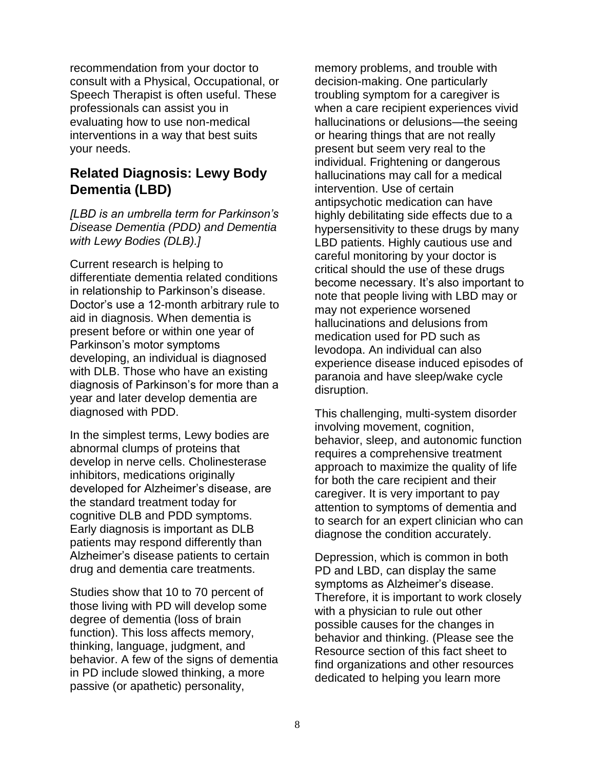recommendation from your doctor to consult with a Physical, Occupational, or Speech Therapist is often useful. These professionals can assist you in evaluating how to use non-medical interventions in a way that best suits your needs.

# **Related Diagnosis: Lewy Body Dementia (LBD)**

*[LBD is an umbrella term for Parkinson's Disease Dementia (PDD) and Dementia with Lewy Bodies (DLB).]*

Current research is helping to differentiate dementia related conditions in relationship to Parkinson's disease. Doctor's use a 12-month arbitrary rule to aid in diagnosis. When dementia is present before or within one year of Parkinson's motor symptoms developing, an individual is diagnosed with DLB. Those who have an existing diagnosis of Parkinson's for more than a year and later develop dementia are diagnosed with PDD.

In the simplest terms, Lewy bodies are abnormal clumps of proteins that develop in nerve cells. Cholinesterase inhibitors, medications originally developed for Alzheimer's disease, are the standard treatment today for cognitive DLB and PDD symptoms. Early diagnosis is important as DLB patients may respond differently than Alzheimer's disease patients to certain drug and dementia care treatments.

Studies show that 10 to 70 percent of those living with PD will develop some degree of dementia (loss of brain function). This loss affects memory, thinking, language, judgment, and behavior. A few of the signs of dementia in PD include slowed thinking, a more passive (or apathetic) personality,

memory problems, and trouble with decision-making. One particularly troubling symptom for a caregiver is when a care recipient experiences vivid hallucinations or delusions—the seeing or hearing things that are not really present but seem very real to the individual. Frightening or dangerous hallucinations may call for a medical intervention. Use of certain antipsychotic medication can have highly debilitating side effects due to a hypersensitivity to these drugs by many LBD patients. Highly cautious use and careful monitoring by your doctor is critical should the use of these drugs become necessary. It's also important to note that people living with LBD may or may not experience worsened hallucinations and delusions from medication used for PD such as levodopa. An individual can also experience disease induced episodes of paranoia and have sleep/wake cycle disruption.

This challenging, multi-system disorder involving movement, cognition, behavior, sleep, and autonomic function requires a comprehensive treatment approach to maximize the quality of life for both the care recipient and their caregiver. It is very important to pay attention to symptoms of dementia and to search for an expert clinician who can diagnose the condition accurately.

Depression, which is common in both PD and LBD, can display the same symptoms as Alzheimer's disease. Therefore, it is important to work closely with a physician to rule out other possible causes for the changes in behavior and thinking. (Please see the Resource section of this fact sheet to find organizations and other resources dedicated to helping you learn more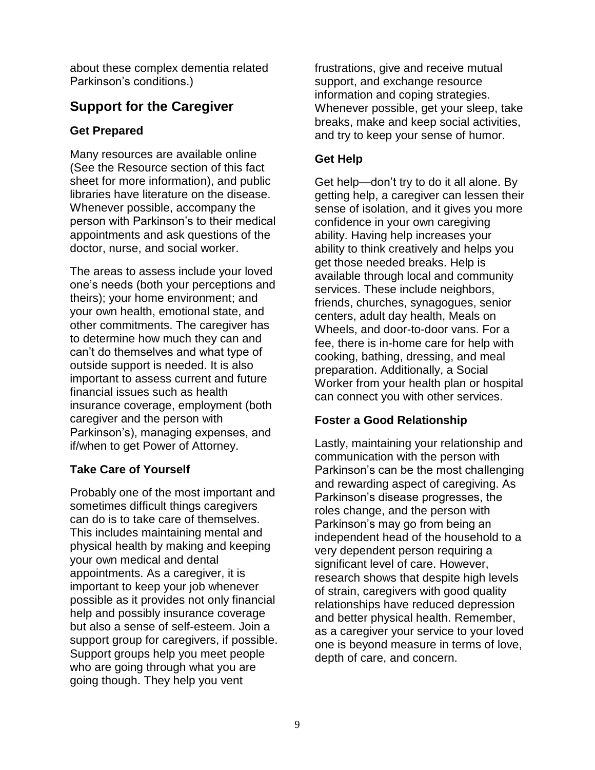about these complex dementia related Parkinson's conditions.)

# **Support for the Caregiver**

### **Get Prepared**

Many resources are available online (See the Resource section of this fact sheet for more information), and public libraries have literature on the disease. Whenever possible, accompany the person with Parkinson's to their medical appointments and ask questions of the doctor, nurse, and social worker.

The areas to assess include your loved one's needs (both your perceptions and theirs); your home environment; and your own health, emotional state, and other commitments. The caregiver has to determine how much they can and can't do themselves and what type of outside support is needed. It is also important to assess current and future financial issues such as health insurance coverage, employment (both caregiver and the person with Parkinson's), managing expenses, and if/when to get Power of Attorney.

# **Take Care of Yourself**

Probably one of the most important and sometimes difficult things caregivers can do is to take care of themselves. This includes maintaining mental and physical health by making and keeping your own medical and dental appointments. As a caregiver, it is important to keep your job whenever possible as it provides not only financial help and possibly insurance coverage but also a sense of self-esteem. Join a support group for caregivers, if possible. Support groups help you meet people who are going through what you are going though. They help you vent

frustrations, give and receive mutual support, and exchange resource information and coping strategies. Whenever possible, get your sleep, take breaks, make and keep social activities, and try to keep your sense of humor.

# **Get Help**

Get help—don't try to do it all alone. By getting help, a caregiver can lessen their sense of isolation, and it gives you more confidence in your own caregiving ability. Having help increases your ability to think creatively and helps you get those needed breaks. Help is available through local and community services. These include neighbors, friends, churches, synagogues, senior centers, adult day health, Meals on Wheels, and door-to-door vans. For a fee, there is in-home care for help with cooking, bathing, dressing, and meal preparation. Additionally, a Social Worker from your health plan or hospital can connect you with other services.

# **Foster a Good Relationship**

Lastly, maintaining your relationship and communication with the person with Parkinson's can be the most challenging and rewarding aspect of caregiving. As Parkinson's disease progresses, the roles change, and the person with Parkinson's may go from being an independent head of the household to a very dependent person requiring a significant level of care. However, research shows that despite high levels of strain, caregivers with good quality relationships have reduced depression and better physical health. Remember, as a caregiver your service to your loved one is beyond measure in terms of love, depth of care, and concern.